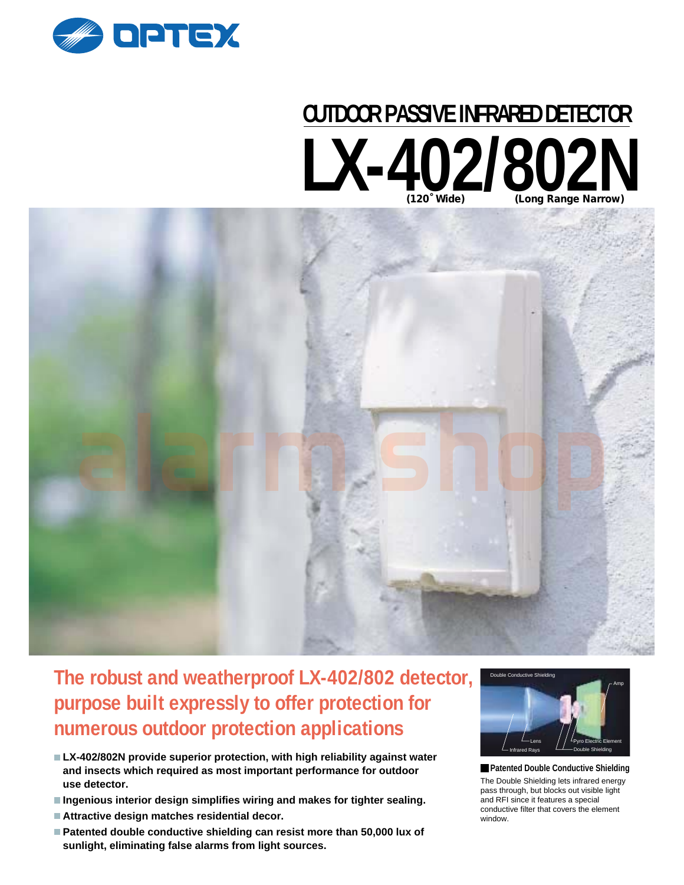

# LX-402/802N **OUTDOOR PASSIVE INFRARED DETECTOR**



# **The robust and weatherproof LX-402/802 detector, purpose built expressly to offer protection for numerous outdoor protection applications**

- **LX-402/802N provide superior protection, with high reliability against water and insects which required as most important performance for outdoor use detector.**
- **Ingenious interior design simplifies wiring and makes for tighter sealing.**
- **Attractive design matches residential decor.**
- **Patented double conductive shielding can resist more than 50,000 lux of sunlight, eliminating false alarms from light sources.**



The Double Shielding lets infrared energy pass through, but blocks out visible light and RFI since it features a special conductive filter that covers the element window.  **Patented Double Conductive Shielding**